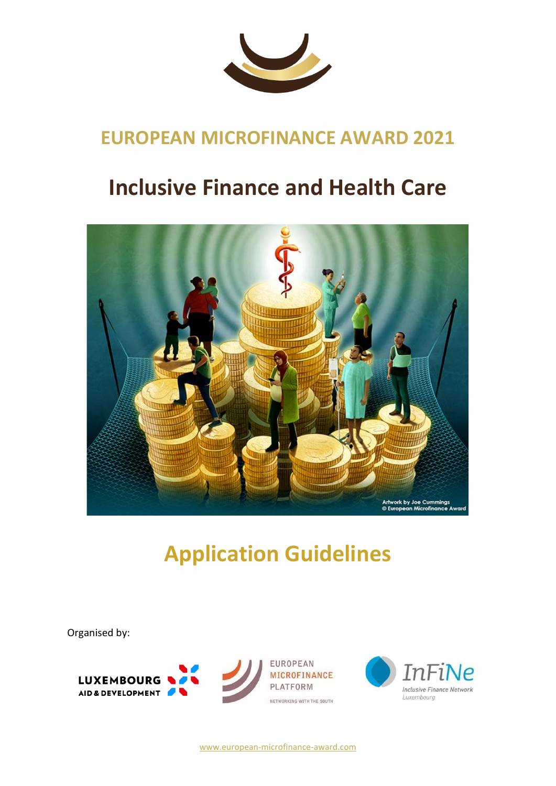

# **EUROPEAN MICROFINANCE AWARD 2021**

# **Inclusive Finance and Health Care**



# **Application Guidelines**

Organised by:



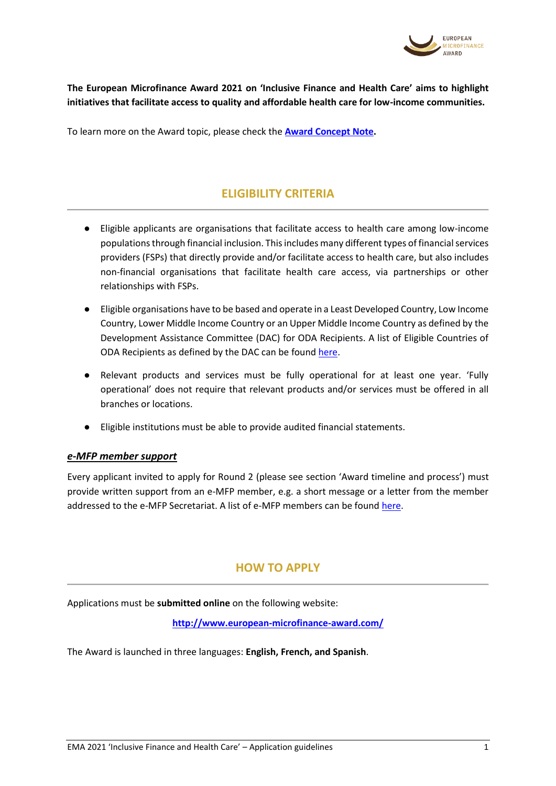

**The European Microfinance Award 2021 on 'Inclusive Finance and Health Care' aims to highlight initiatives that facilitate access to quality and affordable health care for low-income communities.**

To learn more on the Award topic, please check the **[Award Concept Note.](http://www.e-mfp.eu/sites/default/files/resources/2021/03/Award%202021%20concept%20note_EN_FINAL_0.pdf)**

# **ELIGIBILITY CRITERIA**

- Eligible applicants are organisations that facilitate access to health care among low-income populations through financial inclusion. This includes many different types of financial services providers (FSPs) that directly provide and/or facilitate access to health care, but also includes non-financial organisations that facilitate health care access, via partnerships or other relationships with FSPs.
- Eligible organisations have to be based and operate in a Least Developed Country, Low Income Country, Lower Middle Income Country or an Upper Middle Income Country as defined by the Development Assistance Committee (DAC) for ODA Recipients. A list of Eligible Countries of ODA Recipients as defined by the DAC can be found [here.](http://www.oecd.org/dac/financing-sustainable-development/development-finance-standards/DAC-List-ODA-Recipients-for-reporting-2021-flows.pdf)
- Relevant products and services must be fully operational for at least one year. 'Fully operational' does not require that relevant products and/or services must be offered in all branches or locations.
- Eligible institutions must be able to provide audited financial statements.

#### *e-MFP member support*

Every applicant invited to apply for Round 2 (please see section 'Award timeline and process') must provide written support from an e-MFP member, e.g. a short message or a letter from the member addressed to the e-MFP Secretariat. A list of e-MFP members can be foun[d here.](http://www.e-mfp.eu/sites/default/files/about-us/List%20of%20e-MFP%20members%20March%202021.pdf)

### **HOW TO APPLY**

Applications must be **submitted online** on the following website:

**<http://www.european-microfinance-award.com/>**

The Award is launched in three languages: **English, French, and Spanish**.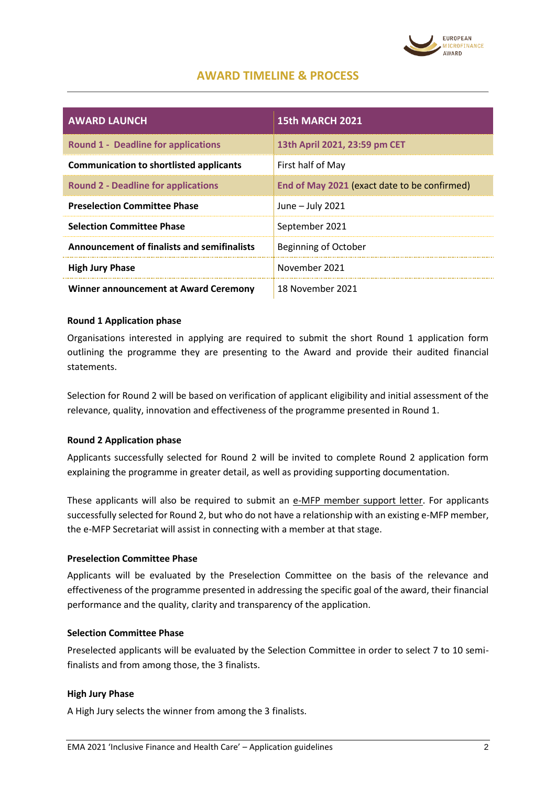

# **AWARD TIMELINE & PROCESS**

| <b>AWARD LAUNCH</b>                                | <b>15th MARCH 2021</b>                       |
|----------------------------------------------------|----------------------------------------------|
| <b>Round 1 - Deadline for applications</b>         | 13th April 2021, 23:59 pm CET                |
| <b>Communication to shortlisted applicants</b>     | First half of May                            |
| <b>Round 2 - Deadline for applications</b>         | End of May 2021 (exact date to be confirmed) |
| <b>Preselection Committee Phase</b>                | June $-$ July 2021                           |
| <b>Selection Committee Phase</b>                   | September 2021                               |
| <b>Announcement of finalists and semifinalists</b> | <b>Beginning of October</b>                  |
| <b>High Jury Phase</b>                             | November 2021                                |
| Winner announcement at Award Ceremony              | 18 November 2021                             |

#### **Round 1 Application phase**

Organisations interested in applying are required to submit the short Round 1 application form outlining the programme they are presenting to the Award and provide their audited financial statements.

Selection for Round 2 will be based on verification of applicant eligibility and initial assessment of the relevance, quality, innovation and effectiveness of the programme presented in Round 1.

#### **Round 2 Application phase**

Applicants successfully selected for Round 2 will be invited to complete Round 2 application form explaining the programme in greater detail, as well as providing supporting documentation.

These applicants will also be required to submit an e-MFP member support letter. For applicants successfully selected for Round 2, but who do not have a relationship with an existing e-MFP member, the e-MFP Secretariat will assist in connecting with a member at that stage.

#### **Preselection Committee Phase**

Applicants will be evaluated by the Preselection Committee on the basis of the relevance and effectiveness of the programme presented in addressing the specific goal of the award, their financial performance and the quality, clarity and transparency of the application.

#### **Selection Committee Phase**

Preselected applicants will be evaluated by the Selection Committee in order to select 7 to 10 semifinalists and from among those, the 3 finalists.

#### **High Jury Phase**

A High Jury selects the winner from among the 3 finalists.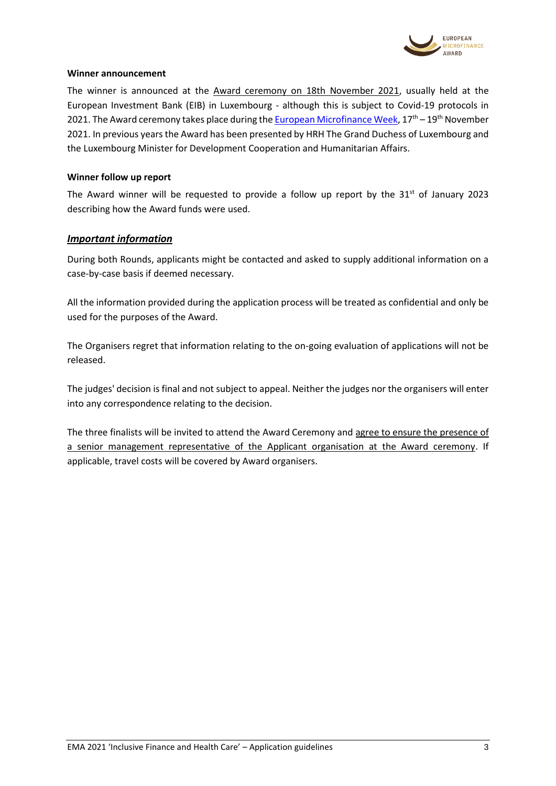

#### **Winner announcement**

The winner is announced at the Award ceremony on 18th November 2021, usually held at the European Investment Bank (EIB) in Luxembourg - although this is subject to Covid-19 protocols in 2021. The Award ceremony takes place during th[e European Microfinance Week,](http://www.e-mfp.eu/microfinance-week-0)  $17<sup>th</sup> - 19<sup>th</sup>$  November 2021. In previous years the Award has been presented by HRH The Grand Duchess of Luxembourg and the Luxembourg Minister for Development Cooperation and Humanitarian Affairs.

#### **Winner follow up report**

The Award winner will be requested to provide a follow up report by the  $31<sup>st</sup>$  of January 2023 describing how the Award funds were used.

#### *Important information*

During both Rounds, applicants might be contacted and asked to supply additional information on a case-by-case basis if deemed necessary.

All the information provided during the application process will be treated as confidential and only be used for the purposes of the Award.

The Organisers regret that information relating to the on-going evaluation of applications will not be released.

The judges' decision is final and not subject to appeal. Neither the judges nor the organisers will enter into any correspondence relating to the decision.

The three finalists will be invited to attend the Award Ceremony and agree to ensure the presence of a senior management representative of the Applicant organisation at the Award ceremony. If applicable, travel costs will be covered by Award organisers.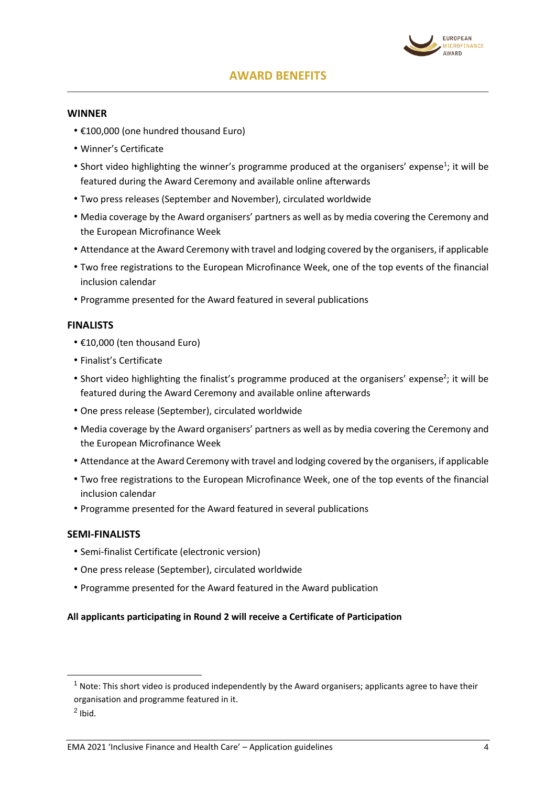

# **AWARD BENEFITS**

#### **WINNER**

- €100,000 (one hundred thousand Euro)
- Winner's Certificate
- Short video highlighting the winner's programme produced at the organisers' expense<sup>1</sup>; it will be featured during the Award Ceremony and available online afterwards
- Two press releases (September and November), circulated worldwide
- Media coverage by the Award organisers' partners as well as by media covering the Ceremony and the European Microfinance Week
- Attendance at the Award Ceremony with travel and lodging covered by the organisers, if applicable
- Two free registrations to the European Microfinance Week, one of the top events of the financial inclusion calendar
- Programme presented for the Award featured in several publications

#### **FINALISTS**

- €10,000 (ten thousand Euro)
- Finalist's Certificate
- Short video highlighting the finalist's programme produced at the organisers' expense<sup>2</sup>; it will be featured during the Award Ceremony and available online afterwards
- One press release (September), circulated worldwide
- Media coverage by the Award organisers' partners as well as by media covering the Ceremony and the European Microfinance Week
- Attendance at the Award Ceremony with travel and lodging covered by the organisers, if applicable
- Two free registrations to the European Microfinance Week, one of the top events of the financial inclusion calendar
- Programme presented for the Award featured in several publications

#### **SEMI-FINALISTS**

- Semi-finalist Certificate (electronic version)
- One press release (September), circulated worldwide
- Programme presented for the Award featured in the Award publication

#### **All applicants participating in Round 2 will receive a Certificate of Participation**

-

 $1$  Note: This short video is produced independently by the Award organisers; applicants agree to have their organisation and programme featured in it.

 $<sup>2</sup>$  Ibid.</sup>